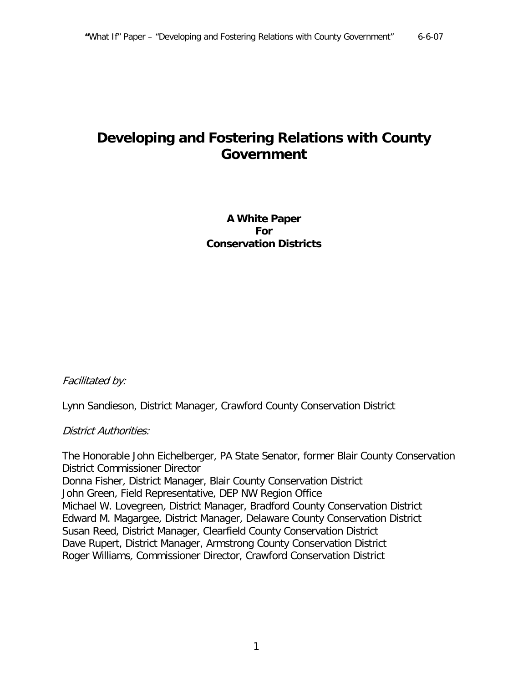# **Developing and Fostering Relations with County Government**

**A White Paper For Conservation Districts**

Facilitated by:

Lynn Sandieson, District Manager, Crawford County Conservation District

#### District Authorities:

The Honorable John Eichelberger, PA State Senator, former Blair County Conservation District Commissioner Director Donna Fisher, District Manager, Blair County Conservation District John Green, Field Representative, DEP NW Region Office Michael W. Lovegreen, District Manager, Bradford County Conservation District Edward M. Magargee, District Manager, Delaware County Conservation District Susan Reed, District Manager, Clearfield County Conservation District Dave Rupert, District Manager, Armstrong County Conservation District Roger Williams, Commissioner Director, Crawford Conservation District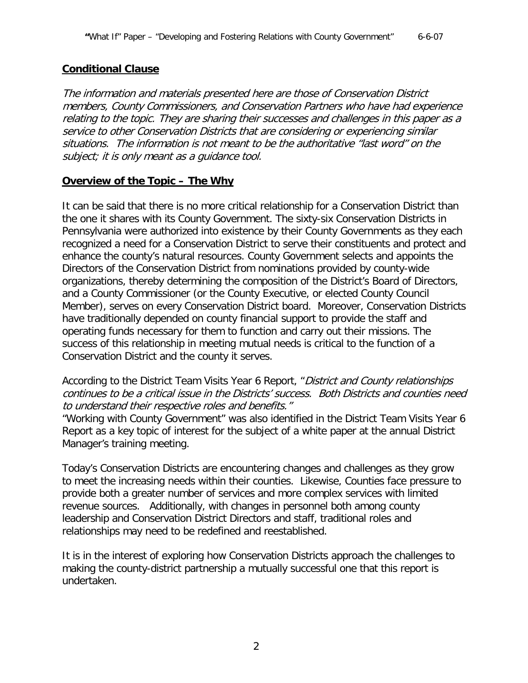# **Conditional Clause**

The information and materials presented here are those of Conservation District members, County Commissioners, and Conservation Partners who have had experience relating to the topic. They are sharing their successes and challenges in this paper as a service to other Conservation Districts that are considering or experiencing similar situations. The information is not meant to be the authoritative "last word" on the subject; it is only meant as a guidance tool.

# **Overview of the Topic – The Why**

It can be said that there is no more critical relationship for a Conservation District than the one it shares with its County Government. The sixty-six Conservation Districts in Pennsylvania were authorized into existence by their County Governments as they each recognized a need for a Conservation District to serve their constituents and protect and enhance the county's natural resources. County Government selects and appoints the Directors of the Conservation District from nominations provided by county-wide organizations, thereby determining the composition of the District's Board of Directors, and a County Commissioner (or the County Executive, or elected County Council Member), serves on every Conservation District board. Moreover, Conservation Districts have traditionally depended on county financial support to provide the staff and operating funds necessary for them to function and carry out their missions. The success of this relationship in meeting mutual needs is critical to the function of a Conservation District and the county it serves.

According to the District Team Visits Year 6 Report, "District and County relationships continues to be a critical issue in the Districts' success. Both Districts and counties need to understand their respective roles and benefits."

"Working with County Government" was also identified in the District Team Visits Year 6 Report as a key topic of interest for the subject of a white paper at the annual District Manager's training meeting.

Today's Conservation Districts are encountering changes and challenges as they grow to meet the increasing needs within their counties. Likewise, Counties face pressure to provide both a greater number of services and more complex services with limited revenue sources. Additionally, with changes in personnel both among county leadership and Conservation District Directors and staff, traditional roles and relationships may need to be redefined and reestablished.

It is in the interest of exploring how Conservation Districts approach the challenges to making the county-district partnership a mutually successful one that this report is undertaken.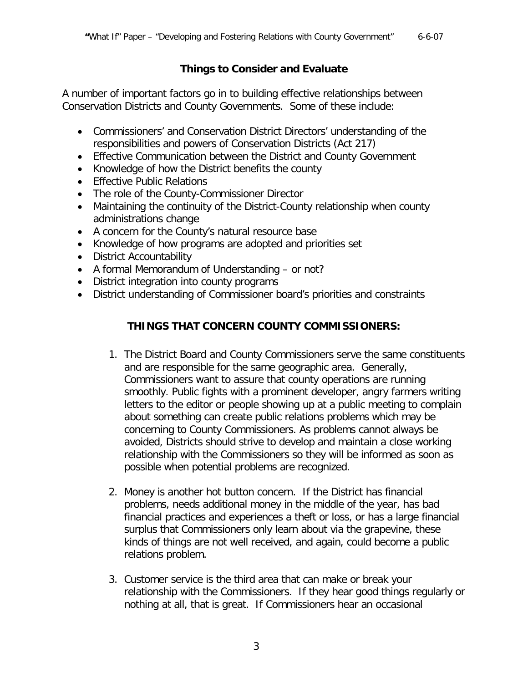# **Things to Consider and Evaluate**

A number of important factors go in to building effective relationships between Conservation Districts and County Governments. Some of these include:

- Commissioners' and Conservation District Directors' understanding of the responsibilities and powers of Conservation Districts (Act 217)
- Effective Communication between the District and County Government
- Knowledge of how the District benefits the county
- Effective Public Relations
- The role of the County-Commissioner Director
- Maintaining the continuity of the District-County relationship when county administrations change
- A concern for the County's natural resource base
- Knowledge of how programs are adopted and priorities set
- District Accountability
- A formal Memorandum of Understanding or not?
- District integration into county programs
- District understanding of Commissioner board's priorities and constraints

# **THINGS THAT CONCERN COUNTY COMMISSIONERS:**

- 1. The District Board and County Commissioners serve the same constituents and are responsible for the same geographic area. Generally, Commissioners want to assure that county operations are running smoothly. Public fights with a prominent developer, angry farmers writing letters to the editor or people showing up at a public meeting to complain about something can create public relations problems which may be concerning to County Commissioners. As problems cannot always be avoided, Districts should strive to develop and maintain a close working relationship with the Commissioners so they will be informed as soon as possible when potential problems are recognized.
- 2. Money is another hot button concern. If the District has financial problems, needs additional money in the middle of the year, has bad financial practices and experiences a theft or loss, or has a large financial surplus that Commissioners only learn about via the grapevine, these kinds of things are not well received, and again, could become a public relations problem.
- 3. Customer service is the third area that can make or break your relationship with the Commissioners. If they hear good things regularly or nothing at all, that is great. If Commissioners hear an occasional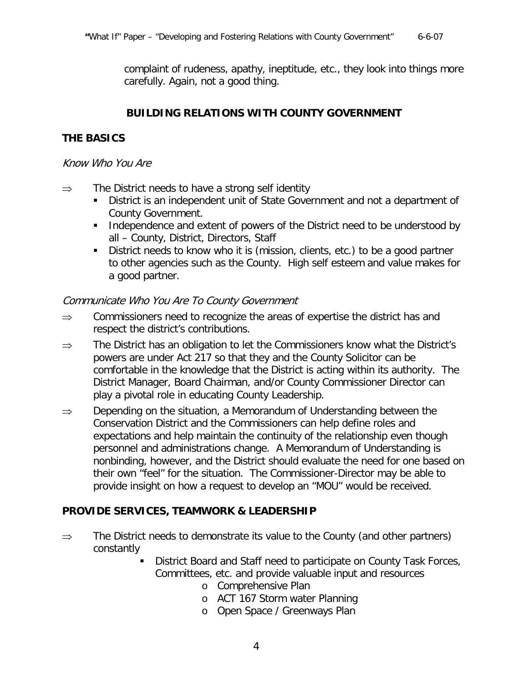complaint of rudeness, apathy, ineptitude, etc., they look into things more carefully. Again, not a good thing.

### **BUILDING RELATIONS WITH COUNTY GOVERNMENT**

# **THE BASICS**

#### Know Who You Are

- $\Rightarrow$  The District needs to have a strong self identity
	- District is an independent unit of State Government and not a department of County Government.
	- Independence and extent of powers of the District need to be understood by all – County, District, Directors, Staff
	- District needs to know who it is (mission, clients, etc.) to be a good partner to other agencies such as the County. High self esteem and value makes for a good partner.

### Communicate Who You Are To County Government

- $\Rightarrow$  Commissioners need to recognize the areas of expertise the district has and respect the district's contributions.
- $\Rightarrow$  The District has an obligation to let the Commissioners know what the District's powers are under Act 217 so that they and the County Solicitor can be comfortable in the knowledge that the District is acting within its authority. The District Manager, Board Chairman, and/or County Commissioner Director can play a pivotal role in educating County Leadership.
- $\Rightarrow$  Depending on the situation, a Memorandum of Understanding between the Conservation District and the Commissioners can help define roles and expectations and help maintain the continuity of the relationship even though personnel and administrations change. A Memorandum of Understanding is nonbinding, however, and the District should evaluate the need for one based on their own "feel" for the situation. The Commissioner-Director may be able to provide insight on how a request to develop an "MOU" would be received.

### **PROVIDE SERVICES, TEAMWORK & LEADERSHIP**

- $\Rightarrow$  The District needs to demonstrate its value to the County (and other partners) constantly
	- District Board and Staff need to participate on County Task Forces, Committees, etc. and provide valuable input and resources
		- o Comprehensive Plan
		- o ACT 167 Storm water Planning
		- o Open Space / Greenways Plan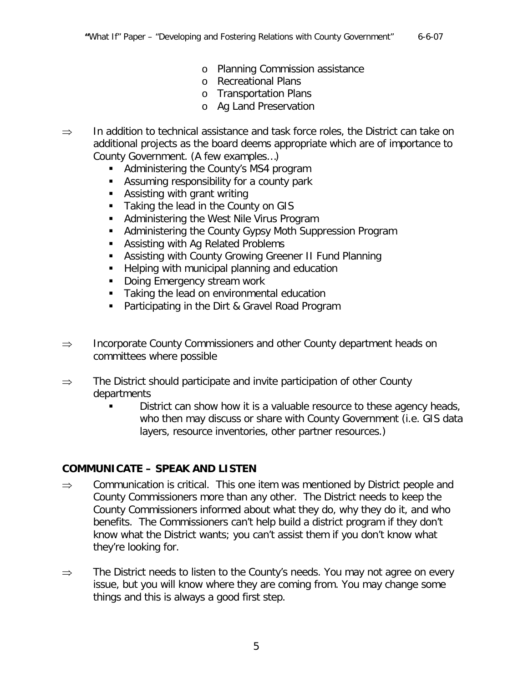- o Planning Commission assistance
- o Recreational Plans
- o Transportation Plans
- o Ag Land Preservation
- ⇒ In addition to technical assistance and task force roles, the District can take on additional projects as the board deems appropriate which are of importance to County Government. (A few examples…)
	- **Administering the County's MS4 program**
	- Assuming responsibility for a county park
	- **Assisting with grant writing**
	- Taking the lead in the County on GIS
	- **Administering the West Nile Virus Program**
	- **Administering the County Gypsy Moth Suppression Program**
	- **Assisting with Ag Related Problems**
	- Assisting with County Growing Greener II Fund Planning
	- **Helping with municipal planning and education**
	- **Doing Emergency stream work**
	- **Taking the lead on environmental education**
	- **Participating in the Dirt & Gravel Road Program**
- ⇒ Incorporate County Commissioners and other County department heads on committees where possible
- $\Rightarrow$  The District should participate and invite participation of other County departments
	- District can show how it is a valuable resource to these agency heads, who then may discuss or share with County Government (i.e. GIS data layers, resource inventories, other partner resources.)

### **COMMUNICATE – SPEAK AND LISTEN**

- $\Rightarrow$  Communication is critical. This one item was mentioned by District people and County Commissioners more than any other. The District needs to keep the County Commissioners informed about what they do, why they do it, and who benefits. The Commissioners can't help build a district program if they don't know what the District wants; you can't assist them if you don't know what they're looking for.
- ⇒ The District needs to listen to the County's needs. You may not agree on every issue, but you will know where they are coming from. You may change some things and this is always a good first step.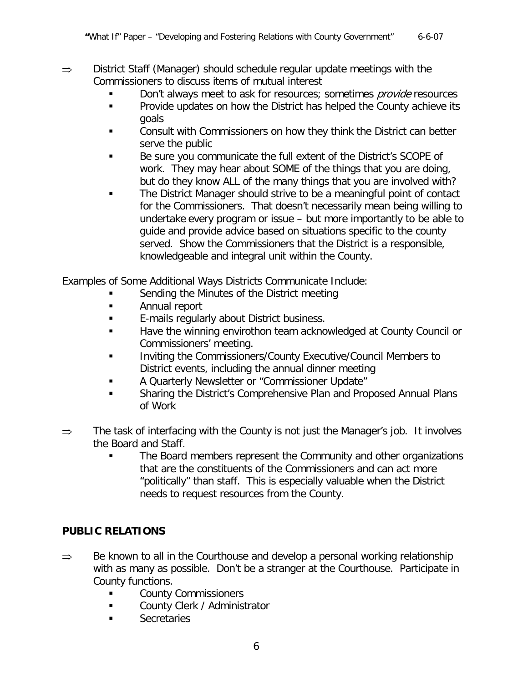#### ⇒ District Staff (Manager) should schedule regular update meetings with the Commissioners to discuss items of mutual interest

- Don't always meet to ask for resources; sometimes *provide* resources
- **Provide updates on how the District has helped the County achieve its** goals
- **EXECONSULARED CONSULT COMMISSIONERS ON how they think the District can better** serve the public
- Be sure you communicate the full extent of the District's SCOPE of work. They may hear about SOME of the things that you are doing, but do they know ALL of the many things that you are involved with?
- The District Manager should strive to be a meaningful point of contact for the Commissioners. That doesn't necessarily mean being willing to undertake every program or issue – but more importantly to be able to guide and provide advice based on situations specific to the county served. Show the Commissioners that the District is a responsible, knowledgeable and integral unit within the County.

Examples of Some Additional Ways Districts Communicate Include:

- Sending the Minutes of the District meeting
- **Annual report**
- **E-mails regularly about District business.**
- Have the winning envirothon team acknowledged at County Council or Commissioners' meeting.
- **Inviting the Commissioners/County Executive/Council Members to** District events, including the annual dinner meeting
- A Quarterly Newsletter or "Commissioner Update"
- **Sharing the District's Comprehensive Plan and Proposed Annual Plans** of Work
- ⇒ The task of interfacing with the County is not just the Manager's job. It involves the Board and Staff.
	- **The Board members represent the Community and other organizations** that are the constituents of the Commissioners and can act more "politically" than staff. This is especially valuable when the District needs to request resources from the County.

# **PUBLIC RELATIONS**

- $\Rightarrow$  Be known to all in the Courthouse and develop a personal working relationship with as many as possible. Don't be a stranger at the Courthouse. Participate in County functions.
	- County Commissioners
	- **Example 21 County Clerk / Administrator**
	- **Secretaries**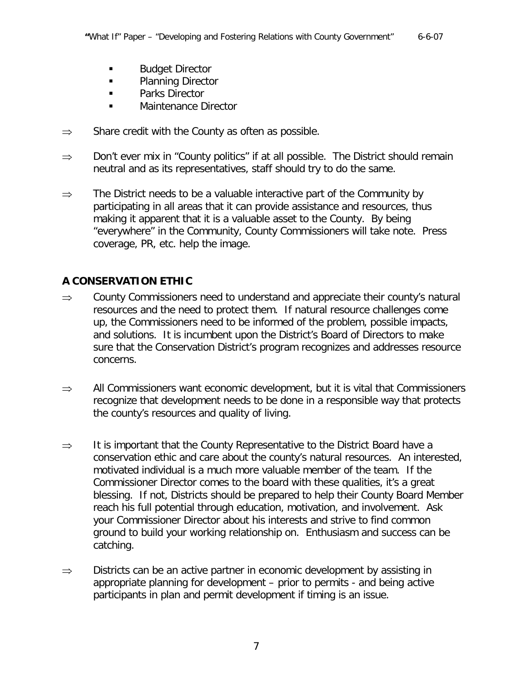- **Budget Director**
- **Planning Director**
- **Parks Director**
- **Maintenance Director**
- $\Rightarrow$  Share credit with the County as often as possible.
- $\Rightarrow$  Don't ever mix in "County politics" if at all possible. The District should remain neutral and as its representatives, staff should try to do the same.
- $\Rightarrow$  The District needs to be a valuable interactive part of the Community by participating in all areas that it can provide assistance and resources, thus making it apparent that it is a valuable asset to the County. By being "everywhere" in the Community, County Commissioners will take note. Press coverage, PR, etc. help the image.

# **A CONSERVATION ETHIC**

- $\Rightarrow$  County Commissioners need to understand and appreciate their county's natural resources and the need to protect them. If natural resource challenges come up, the Commissioners need to be informed of the problem, possible impacts, and solutions. It is incumbent upon the District's Board of Directors to make sure that the Conservation District's program recognizes and addresses resource concerns.
- $\Rightarrow$  All Commissioners want economic development, but it is vital that Commissioners recognize that development needs to be done in a responsible way that protects the county's resources and quality of living.
- ⇒ It is important that the County Representative to the District Board have a conservation ethic and care about the county's natural resources. An interested, motivated individual is a much more valuable member of the team. If the Commissioner Director comes to the board with these qualities, it's a great blessing. If not, Districts should be prepared to help their County Board Member reach his full potential through education, motivation, and involvement. Ask your Commissioner Director about his interests and strive to find common ground to build your working relationship on. Enthusiasm and success can be catching.
- $\Rightarrow$  Districts can be an active partner in economic development by assisting in appropriate planning for development – prior to permits - and being active participants in plan and permit development if timing is an issue.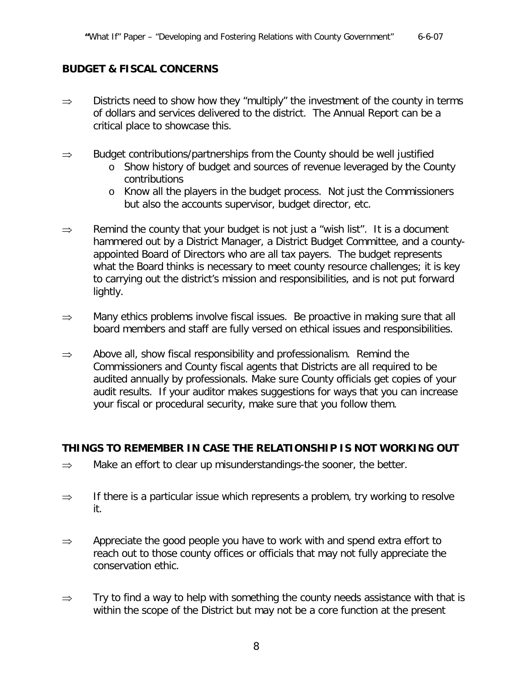#### **BUDGET & FISCAL CONCERNS**

- $\Rightarrow$  Districts need to show how they "multiply" the investment of the county in terms of dollars and services delivered to the district. The Annual Report can be a critical place to showcase this.
- $\Rightarrow$  Budget contributions/partnerships from the County should be well justified
	- o Show history of budget and sources of revenue leveraged by the County contributions
	- o Know all the players in the budget process. Not just the Commissioners but also the accounts supervisor, budget director, etc.
- $\Rightarrow$  Remind the county that your budget is not just a "wish list". It is a document hammered out by a District Manager, a District Budget Committee, and a countyappointed Board of Directors who are all tax payers. The budget represents what the Board thinks is necessary to meet county resource challenges; it is key to carrying out the district's mission and responsibilities, and is not put forward lightly.
- ⇒ Many ethics problems involve fiscal issues. Be proactive in making sure that all board members and staff are fully versed on ethical issues and responsibilities.
- $\Rightarrow$  Above all, show fiscal responsibility and professionalism. Remind the Commissioners and County fiscal agents that Districts are all required to be audited annually by professionals. Make sure County officials get copies of your audit results. If your auditor makes suggestions for ways that you can increase your fiscal or procedural security, make sure that you follow them.

#### **THINGS TO REMEMBER IN CASE THE RELATIONSHIP IS NOT WORKING OUT**

- $\Rightarrow$  Make an effort to clear up misunderstandings-the sooner, the better.
- $\Rightarrow$  If there is a particular issue which represents a problem, try working to resolve it.
- $\Rightarrow$  Appreciate the good people you have to work with and spend extra effort to reach out to those county offices or officials that may not fully appreciate the conservation ethic.
- $\Rightarrow$  Try to find a way to help with something the county needs assistance with that is within the scope of the District but may not be a core function at the present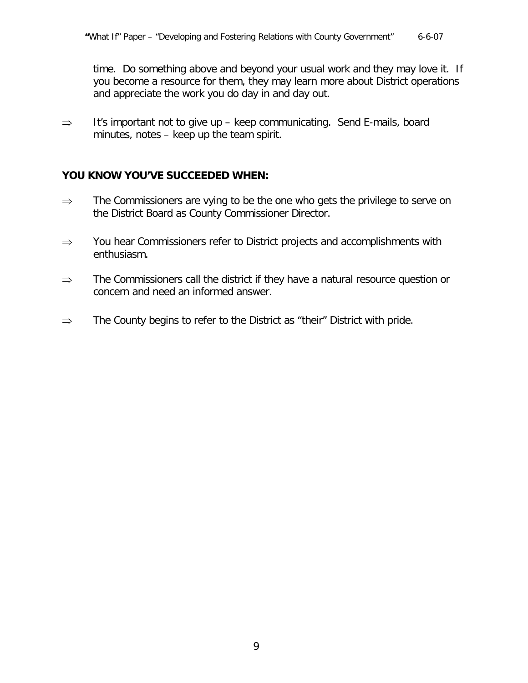time. Do something above and beyond your usual work and they may love it. If you become a resource for them, they may learn more about District operations and appreciate the work you do day in and day out.

⇒ It's important not to give up – keep communicating. Send E-mails, board minutes, notes – keep up the team spirit.

#### **YOU KNOW YOU'VE SUCCEEDED WHEN:**

- ⇒ The Commissioners are vying to be the one who gets the privilege to serve on the District Board as County Commissioner Director.
- ⇒ You hear Commissioners refer to District projects and accomplishments with enthusiasm.
- ⇒ The Commissioners call the district if they have a natural resource question or concern and need an informed answer.
- $\Rightarrow$  The County begins to refer to the District as "their" District with pride.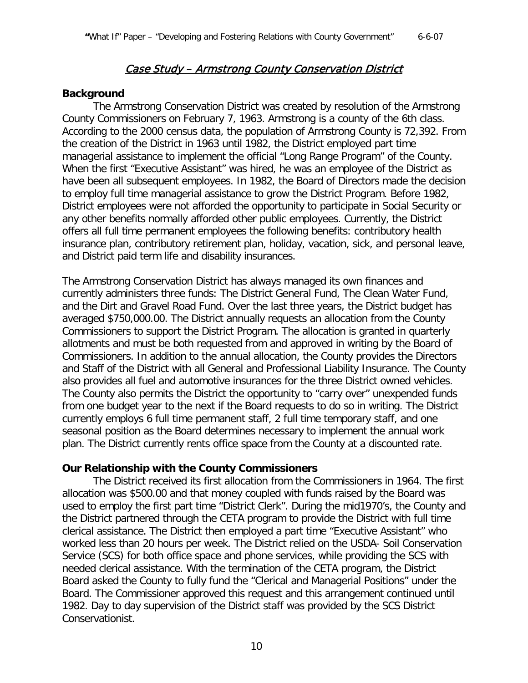# Case Study – Armstrong County Conservation District

#### **Background**

The Armstrong Conservation District was created by resolution of the Armstrong County Commissioners on February 7, 1963. Armstrong is a county of the 6th class. According to the 2000 census data, the population of Armstrong County is 72,392. From the creation of the District in 1963 until 1982, the District employed part time managerial assistance to implement the official "Long Range Program" of the County. When the first "Executive Assistant" was hired, he was an employee of the District as have been all subsequent employees. In 1982, the Board of Directors made the decision to employ full time managerial assistance to grow the District Program. Before 1982, District employees were not afforded the opportunity to participate in Social Security or any other benefits normally afforded other public employees. Currently, the District offers all full time permanent employees the following benefits: contributory health insurance plan, contributory retirement plan, holiday, vacation, sick, and personal leave, and District paid term life and disability insurances.

The Armstrong Conservation District has always managed its own finances and currently administers three funds: The District General Fund, The Clean Water Fund, and the Dirt and Gravel Road Fund. Over the last three years, the District budget has averaged \$750,000.00. The District annually requests an allocation from the County Commissioners to support the District Program. The allocation is granted in quarterly allotments and must be both requested from and approved in writing by the Board of Commissioners. In addition to the annual allocation, the County provides the Directors and Staff of the District with all General and Professional Liability Insurance. The County also provides all fuel and automotive insurances for the three District owned vehicles. The County also permits the District the opportunity to "carry over" unexpended funds from one budget year to the next if the Board requests to do so in writing. The District currently employs 6 full time permanent staff, 2 full time temporary staff, and one seasonal position as the Board determines necessary to implement the annual work plan. The District currently rents office space from the County at a discounted rate.

### **Our Relationship with the County Commissioners**

The District received its first allocation from the Commissioners in 1964. The first allocation was \$500.00 and that money coupled with funds raised by the Board was used to employ the first part time "District Clerk". During the mid1970's, the County and the District partnered through the CETA program to provide the District with full time clerical assistance. The District then employed a part time "Executive Assistant" who worked less than 20 hours per week. The District relied on the USDA- Soil Conservation Service (SCS) for both office space and phone services, while providing the SCS with needed clerical assistance. With the termination of the CETA program, the District Board asked the County to fully fund the "Clerical and Managerial Positions" under the Board. The Commissioner approved this request and this arrangement continued until 1982. Day to day supervision of the District staff was provided by the SCS District Conservationist.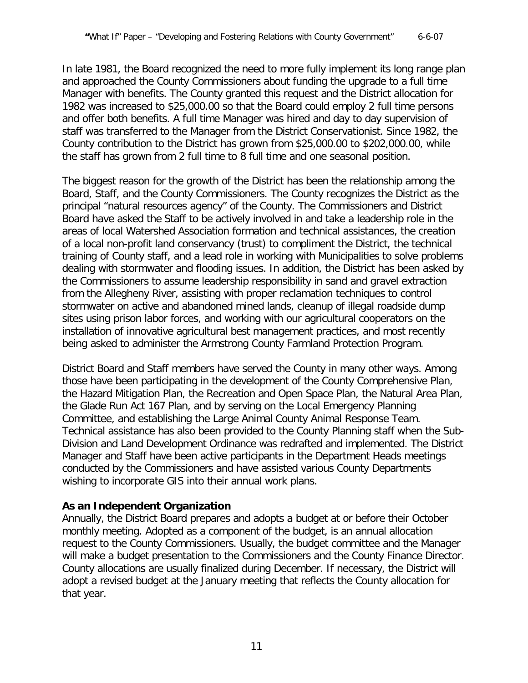In late 1981, the Board recognized the need to more fully implement its long range plan and approached the County Commissioners about funding the upgrade to a full time Manager with benefits. The County granted this request and the District allocation for 1982 was increased to \$25,000.00 so that the Board could employ 2 full time persons and offer both benefits. A full time Manager was hired and day to day supervision of staff was transferred to the Manager from the District Conservationist. Since 1982, the County contribution to the District has grown from \$25,000.00 to \$202,000.00, while the staff has grown from 2 full time to 8 full time and one seasonal position.

The biggest reason for the growth of the District has been the relationship among the Board, Staff, and the County Commissioners. The County recognizes the District as the principal "natural resources agency" of the County. The Commissioners and District Board have asked the Staff to be actively involved in and take a leadership role in the areas of local Watershed Association formation and technical assistances, the creation of a local non-profit land conservancy (trust) to compliment the District, the technical training of County staff, and a lead role in working with Municipalities to solve problems dealing with stormwater and flooding issues. In addition, the District has been asked by the Commissioners to assume leadership responsibility in sand and gravel extraction from the Allegheny River, assisting with proper reclamation techniques to control stormwater on active and abandoned mined lands, cleanup of illegal roadside dump sites using prison labor forces, and working with our agricultural cooperators on the installation of innovative agricultural best management practices, and most recently being asked to administer the Armstrong County Farmland Protection Program.

District Board and Staff members have served the County in many other ways. Among those have been participating in the development of the County Comprehensive Plan, the Hazard Mitigation Plan, the Recreation and Open Space Plan, the Natural Area Plan, the Glade Run Act 167 Plan, and by serving on the Local Emergency Planning Committee, and establishing the Large Animal County Animal Response Team. Technical assistance has also been provided to the County Planning staff when the Sub-Division and Land Development Ordinance was redrafted and implemented. The District Manager and Staff have been active participants in the Department Heads meetings conducted by the Commissioners and have assisted various County Departments wishing to incorporate GIS into their annual work plans.

# **As an Independent Organization**

Annually, the District Board prepares and adopts a budget at or before their October monthly meeting. Adopted as a component of the budget, is an annual allocation request to the County Commissioners. Usually, the budget committee and the Manager will make a budget presentation to the Commissioners and the County Finance Director. County allocations are usually finalized during December. If necessary, the District will adopt a revised budget at the January meeting that reflects the County allocation for that year.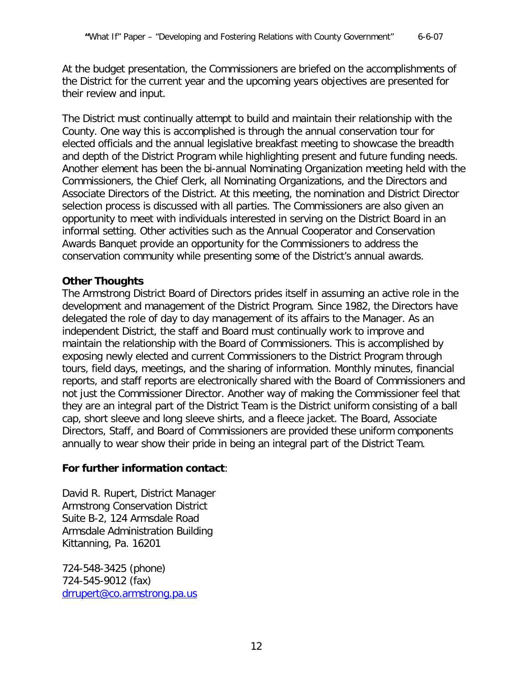At the budget presentation, the Commissioners are briefed on the accomplishments of the District for the current year and the upcoming years objectives are presented for their review and input.

The District must continually attempt to build and maintain their relationship with the County. One way this is accomplished is through the annual conservation tour for elected officials and the annual legislative breakfast meeting to showcase the breadth and depth of the District Program while highlighting present and future funding needs. Another element has been the bi-annual Nominating Organization meeting held with the Commissioners, the Chief Clerk, all Nominating Organizations, and the Directors and Associate Directors of the District. At this meeting, the nomination and District Director selection process is discussed with all parties. The Commissioners are also given an opportunity to meet with individuals interested in serving on the District Board in an informal setting. Other activities such as the Annual Cooperator and Conservation Awards Banquet provide an opportunity for the Commissioners to address the conservation community while presenting some of the District's annual awards.

# **Other Thoughts**

The Armstrong District Board of Directors prides itself in assuming an active role in the development and management of the District Program. Since 1982, the Directors have delegated the role of day to day management of its affairs to the Manager. As an independent District, the staff and Board must continually work to improve and maintain the relationship with the Board of Commissioners. This is accomplished by exposing newly elected and current Commissioners to the District Program through tours, field days, meetings, and the sharing of information. Monthly minutes, financial reports, and staff reports are electronically shared with the Board of Commissioners and not just the Commissioner Director. Another way of making the Commissioner feel that they are an integral part of the District Team is the District uniform consisting of a ball cap, short sleeve and long sleeve shirts, and a fleece jacket. The Board, Associate Directors, Staff, and Board of Commissioners are provided these uniform components annually to wear show their pride in being an integral part of the District Team.

# **For further information contact**:

David R. Rupert, District Manager Armstrong Conservation District Suite B-2, 124 Armsdale Road Armsdale Administration Building Kittanning, Pa. 16201

724-548-3425 (phone) 724-545-9012 (fax) [drrupert@co.armstrong.pa.us](mailto:drrupert@co.armstrong.pa.us)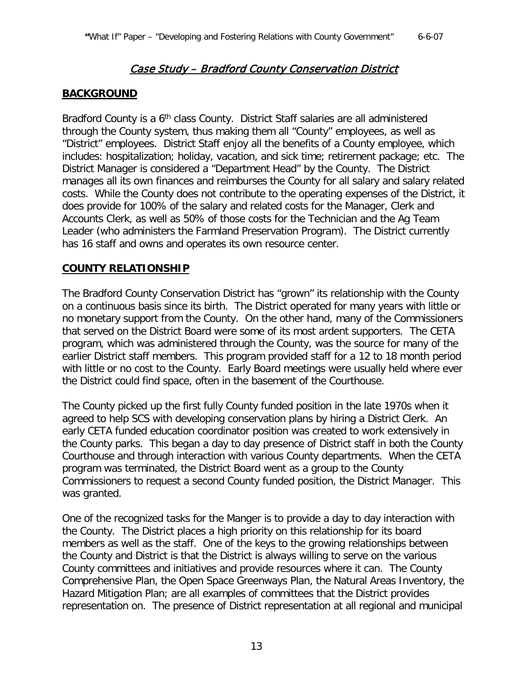# Case Study – Bradford County Conservation District

### **BACKGROUND**

Bradford County is a 6<sup>th</sup> class County. District Staff salaries are all administered through the County system, thus making them all "County" employees, as well as "District" employees. District Staff enjoy all the benefits of a County employee, which includes: hospitalization; holiday, vacation, and sick time; retirement package; etc. The District Manager is considered a "Department Head" by the County. The District manages all its own finances and reimburses the County for all salary and salary related costs. While the County does not contribute to the operating expenses of the District, it does provide for 100% of the salary and related costs for the Manager, Clerk and Accounts Clerk, as well as 50% of those costs for the Technician and the Ag Team Leader (who administers the Farmland Preservation Program). The District currently has 16 staff and owns and operates its own resource center.

#### **COUNTY RELATIONSHIP**

The Bradford County Conservation District has "grown" its relationship with the County on a continuous basis since its birth. The District operated for many years with little or no monetary support from the County. On the other hand, many of the Commissioners that served on the District Board were some of its most ardent supporters. The CETA program, which was administered through the County, was the source for many of the earlier District staff members. This program provided staff for a 12 to 18 month period with little or no cost to the County. Early Board meetings were usually held where ever the District could find space, often in the basement of the Courthouse.

The County picked up the first fully County funded position in the late 1970s when it agreed to help SCS with developing conservation plans by hiring a District Clerk. An early CETA funded education coordinator position was created to work extensively in the County parks. This began a day to day presence of District staff in both the County Courthouse and through interaction with various County departments. When the CETA program was terminated, the District Board went as a group to the County Commissioners to request a second County funded position, the District Manager. This was granted.

One of the recognized tasks for the Manger is to provide a day to day interaction with the County. The District places a high priority on this relationship for its board members as well as the staff. One of the keys to the growing relationships between the County and District is that the District is always willing to serve on the various County committees and initiatives and provide resources where it can. The County Comprehensive Plan, the Open Space Greenways Plan, the Natural Areas Inventory, the Hazard Mitigation Plan; are all examples of committees that the District provides representation on. The presence of District representation at all regional and municipal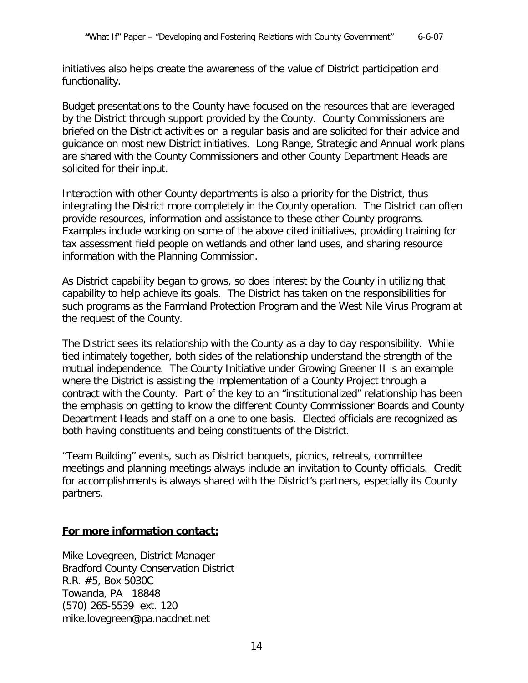initiatives also helps create the awareness of the value of District participation and functionality.

Budget presentations to the County have focused on the resources that are leveraged by the District through support provided by the County. County Commissioners are briefed on the District activities on a regular basis and are solicited for their advice and guidance on most new District initiatives. Long Range, Strategic and Annual work plans are shared with the County Commissioners and other County Department Heads are solicited for their input.

Interaction with other County departments is also a priority for the District, thus integrating the District more completely in the County operation. The District can often provide resources, information and assistance to these other County programs. Examples include working on some of the above cited initiatives, providing training for tax assessment field people on wetlands and other land uses, and sharing resource information with the Planning Commission.

As District capability began to grows, so does interest by the County in utilizing that capability to help achieve its goals. The District has taken on the responsibilities for such programs as the Farmland Protection Program and the West Nile Virus Program at the request of the County.

The District sees its relationship with the County as a day to day responsibility. While tied intimately together, both sides of the relationship understand the strength of the mutual independence. The County Initiative under Growing Greener II is an example where the District is assisting the implementation of a County Project through a contract with the County. Part of the key to an "institutionalized" relationship has been the emphasis on getting to know the different County Commissioner Boards and County Department Heads and staff on a one to one basis. Elected officials are recognized as both having constituents and being constituents of the District.

"Team Building" events, such as District banquets, picnics, retreats, committee meetings and planning meetings always include an invitation to County officials. Credit for accomplishments is always shared with the District's partners, especially its County partners.

### **For more information contact:**

Mike Lovegreen, District Manager Bradford County Conservation District R.R. #5, Box 5030C Towanda, PA 18848 (570) 265-5539 ext. 120 mike.lovegreen@pa.nacdnet.net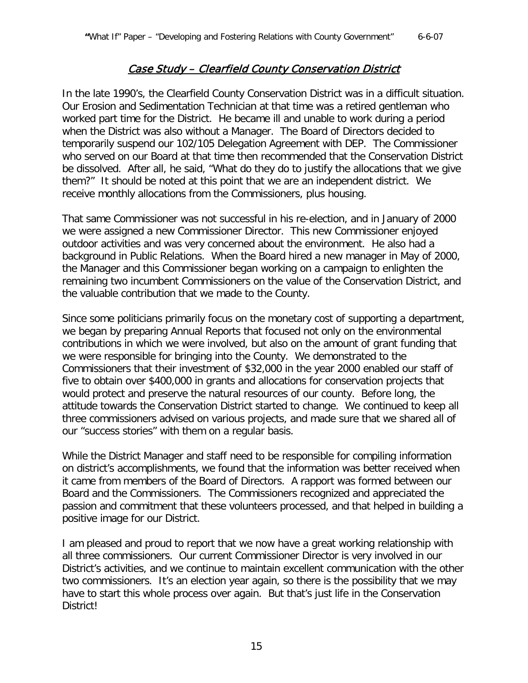# Case Study – Clearfield County Conservation District

In the late 1990's, the Clearfield County Conservation District was in a difficult situation. Our Erosion and Sedimentation Technician at that time was a retired gentleman who worked part time for the District. He became ill and unable to work during a period when the District was also without a Manager. The Board of Directors decided to temporarily suspend our 102/105 Delegation Agreement with DEP. The Commissioner who served on our Board at that time then recommended that the Conservation District be dissolved. After all, he said, "What do they do to justify the allocations that we give them?" It should be noted at this point that we are an independent district. We receive monthly allocations from the Commissioners, plus housing.

That same Commissioner was not successful in his re-election, and in January of 2000 we were assigned a new Commissioner Director. This new Commissioner enjoyed outdoor activities and was very concerned about the environment. He also had a background in Public Relations. When the Board hired a new manager in May of 2000, the Manager and this Commissioner began working on a campaign to enlighten the remaining two incumbent Commissioners on the value of the Conservation District, and the valuable contribution that we made to the County.

Since some politicians primarily focus on the monetary cost of supporting a department, we began by preparing Annual Reports that focused not only on the environmental contributions in which we were involved, but also on the amount of grant funding that we were responsible for bringing into the County. We demonstrated to the Commissioners that their investment of \$32,000 in the year 2000 enabled our staff of five to obtain over \$400,000 in grants and allocations for conservation projects that would protect and preserve the natural resources of our county. Before long, the attitude towards the Conservation District started to change. We continued to keep all three commissioners advised on various projects, and made sure that we shared all of our "success stories" with them on a regular basis.

While the District Manager and staff need to be responsible for compiling information on district's accomplishments, we found that the information was better received when it came from members of the Board of Directors. A rapport was formed between our Board and the Commissioners. The Commissioners recognized and appreciated the passion and commitment that these volunteers processed, and that helped in building a positive image for our District.

I am pleased and proud to report that we now have a great working relationship with all three commissioners. Our current Commissioner Director is very involved in our District's activities, and we continue to maintain excellent communication with the other two commissioners. It's an election year again, so there is the possibility that we may have to start this whole process over again. But that's just life in the Conservation District!